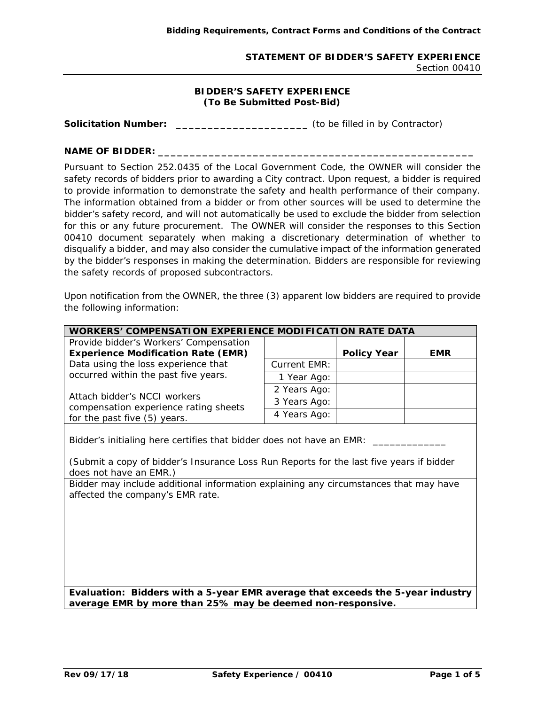## **STATEMENT OF BIDDER'S SAFETY EXPERIENCE**  Section 00410

## **BIDDER'S SAFETY EXPERIENCE (To Be Submitted Post-Bid)**

**Solicitation Number: \_\_\_\_\_\_\_\_\_\_\_\_\_\_\_\_\_\_\_\_\_** (to be filled in by Contractor)

## **NAME OF BIDDER: \_\_\_\_\_\_\_\_\_\_\_\_\_\_\_\_\_\_\_\_\_\_\_\_\_\_\_\_\_\_\_\_\_\_\_\_\_\_\_\_\_\_\_\_\_\_\_\_\_\_**

Pursuant to Section 252.0435 of the Local Government Code, the OWNER will consider the safety records of bidders prior to awarding a City contract. Upon request, a bidder is required to provide information to demonstrate the safety and health performance of their company. The information obtained from a bidder or from other sources will be used to determine the bidder's safety record, and will not automatically be used to exclude the bidder from selection for this or any future procurement. The OWNER will consider the responses to this Section 00410 document separately when making a discretionary determination of whether to disqualify a bidder, and may also consider the cumulative impact of the information generated by the bidder's responses in making the determination. Bidders are responsible for reviewing the safety records of proposed subcontractors.

Upon notification from the OWNER, the three (3) apparent low bidders are required to provide the following information:

| <b>WORKERS' COMPENSATION EXPERIENCE MODIFICATION RATE DATA</b>                                                                                                                            |                     |                    |            |  |
|-------------------------------------------------------------------------------------------------------------------------------------------------------------------------------------------|---------------------|--------------------|------------|--|
| Provide bidder's Workers' Compensation                                                                                                                                                    |                     |                    |            |  |
| <b>Experience Modification Rate (EMR)</b>                                                                                                                                                 |                     | <b>Policy Year</b> | <b>EMR</b> |  |
| Data using the loss experience that                                                                                                                                                       | <b>Current EMR:</b> |                    |            |  |
| occurred within the past five years.                                                                                                                                                      | 1 Year Ago:         |                    |            |  |
|                                                                                                                                                                                           | 2 Years Ago:        |                    |            |  |
| Attach bidder's NCCI workers<br>compensation experience rating sheets<br>for the past five (5) years.                                                                                     | 3 Years Ago:        |                    |            |  |
|                                                                                                                                                                                           | 4 Years Ago:        |                    |            |  |
| Bidder's initialing here certifies that bidder does not have an EMR:<br>(Submit a copy of bidder's Insurance Loss Run Reports for the last five years if bidder<br>does not have an EMR.) |                     |                    |            |  |
| Bidder may include additional information explaining any circumstances that may have<br>affected the company's EMR rate.                                                                  |                     |                    |            |  |
| Evaluation: Bidders with a 5-year EMR average that exceeds the 5-year industry<br>average EMR by more than 25% may be deemed non-responsive.                                              |                     |                    |            |  |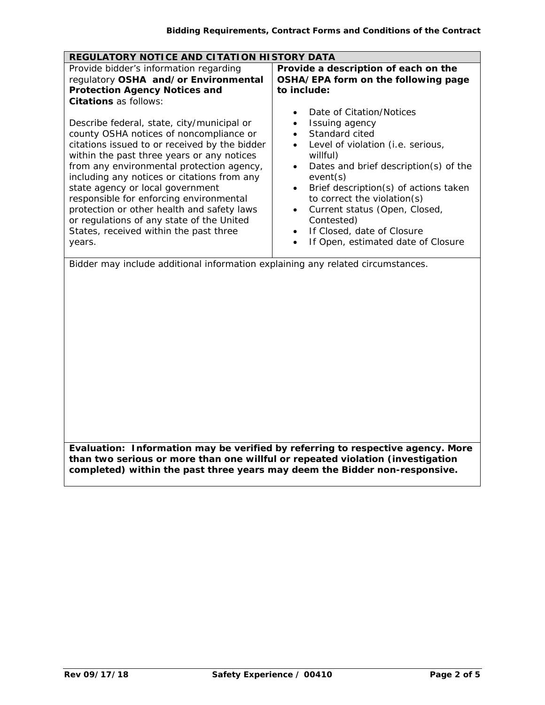| REGULATORY NOTICE AND CITATION HISTORY DATA                                                                                                                                                                                                                                                                                                                                                 |                                                                                                                                                                                                                                                                                                  |  |  |
|---------------------------------------------------------------------------------------------------------------------------------------------------------------------------------------------------------------------------------------------------------------------------------------------------------------------------------------------------------------------------------------------|--------------------------------------------------------------------------------------------------------------------------------------------------------------------------------------------------------------------------------------------------------------------------------------------------|--|--|
| Provide bidder's information regarding<br>regulatory OSHA and/or Environmental<br><b>Protection Agency Notices and</b><br><b>Citations</b> as follows:<br>Describe federal, state, city/municipal or<br>county OSHA notices of noncompliance or<br>citations issued to or received by the bidder<br>within the past three years or any notices<br>from any environmental protection agency, | Provide a description of each on the<br>OSHA/EPA form on the following page<br>to include:<br>Date of Citation/Notices<br>٠<br>Issuing agency<br>$\bullet$<br>Standard cited<br>$\bullet$<br>Level of violation (i.e. serious,<br>willful)<br>Dates and brief description(s) of the<br>$\bullet$ |  |  |
| including any notices or citations from any<br>state agency or local government<br>responsible for enforcing environmental<br>protection or other health and safety laws<br>or regulations of any state of the United<br>States, received within the past three<br>years.<br>Bidder may include additional information explaining any related circumstances.                                | event(s)<br>Brief description(s) of actions taken<br>$\bullet$<br>to correct the violation(s)<br>Current status (Open, Closed,<br>$\bullet$<br>Contested)<br>If Closed, date of Closure<br>$\bullet$<br>If Open, estimated date of Closure                                                       |  |  |
|                                                                                                                                                                                                                                                                                                                                                                                             |                                                                                                                                                                                                                                                                                                  |  |  |
| Evaluation: Information may be verified by referring to respective agency. More<br>than two serious or more than one willful or repeated violation (investigation<br>completed) within the past three years may deem the Bidder non-responsive.                                                                                                                                             |                                                                                                                                                                                                                                                                                                  |  |  |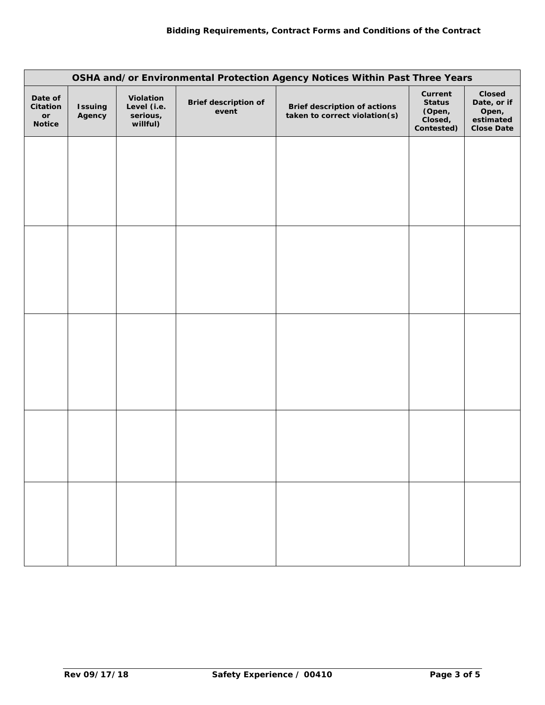| OSHA and/or Environmental Protection Agency Notices Within Past Three Years |                          |                                                  |                                      |                                                               |                                                             |                                                                  |
|-----------------------------------------------------------------------------|--------------------------|--------------------------------------------------|--------------------------------------|---------------------------------------------------------------|-------------------------------------------------------------|------------------------------------------------------------------|
| Date of<br>Citation<br>$\mathop{\sf or}\nolimits$<br><b>Notice</b>          | <b>Issuing</b><br>Agency | Violation<br>Level (i.e.<br>serious,<br>willful) | <b>Brief description of</b><br>event | Brief description of actions<br>taken to correct violation(s) | Current<br><b>Status</b><br>(Open,<br>Closed,<br>Contested) | Closed<br>Date, or if<br>Open,<br>estimated<br><b>Close Date</b> |
|                                                                             |                          |                                                  |                                      |                                                               |                                                             |                                                                  |
|                                                                             |                          |                                                  |                                      |                                                               |                                                             |                                                                  |
|                                                                             |                          |                                                  |                                      |                                                               |                                                             |                                                                  |
|                                                                             |                          |                                                  |                                      |                                                               |                                                             |                                                                  |
|                                                                             |                          |                                                  |                                      |                                                               |                                                             |                                                                  |
|                                                                             |                          |                                                  |                                      |                                                               |                                                             |                                                                  |
|                                                                             |                          |                                                  |                                      |                                                               |                                                             |                                                                  |
|                                                                             |                          |                                                  |                                      |                                                               |                                                             |                                                                  |
|                                                                             |                          |                                                  |                                      |                                                               |                                                             |                                                                  |
|                                                                             |                          |                                                  |                                      |                                                               |                                                             |                                                                  |
|                                                                             |                          |                                                  |                                      |                                                               |                                                             |                                                                  |
|                                                                             |                          |                                                  |                                      |                                                               |                                                             |                                                                  |
|                                                                             |                          |                                                  |                                      |                                                               |                                                             |                                                                  |
|                                                                             |                          |                                                  |                                      |                                                               |                                                             |                                                                  |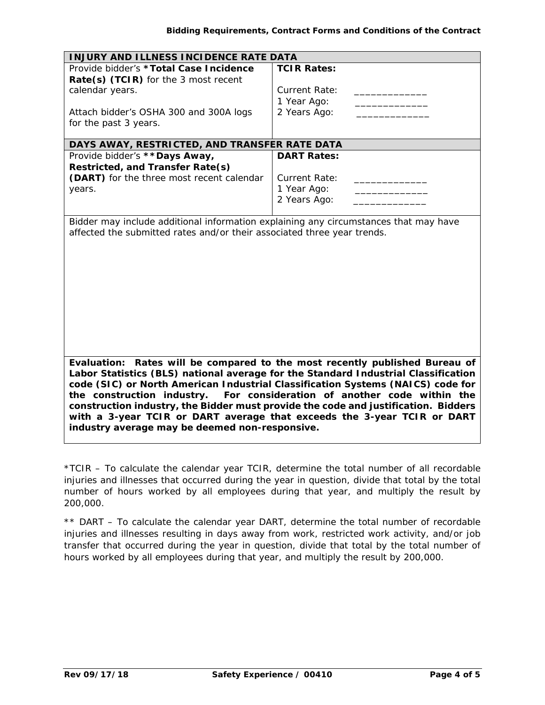| INJURY AND ILLNESS INCIDENCE RATE DATA                                                                                                                                                                                                                                                                                                                                                                                                                                                                                                             |                      |  |  |  |
|----------------------------------------------------------------------------------------------------------------------------------------------------------------------------------------------------------------------------------------------------------------------------------------------------------------------------------------------------------------------------------------------------------------------------------------------------------------------------------------------------------------------------------------------------|----------------------|--|--|--|
| Provide bidder's *Total Case Incidence                                                                                                                                                                                                                                                                                                                                                                                                                                                                                                             | <b>TCIR Rates:</b>   |  |  |  |
| Rate(s) (TCIR) for the 3 most recent                                                                                                                                                                                                                                                                                                                                                                                                                                                                                                               |                      |  |  |  |
| calendar years.                                                                                                                                                                                                                                                                                                                                                                                                                                                                                                                                    | <b>Current Rate:</b> |  |  |  |
|                                                                                                                                                                                                                                                                                                                                                                                                                                                                                                                                                    | 1 Year Ago:          |  |  |  |
| Attach bidder's OSHA 300 and 300A logs                                                                                                                                                                                                                                                                                                                                                                                                                                                                                                             | 2 Years Ago:         |  |  |  |
| for the past 3 years.                                                                                                                                                                                                                                                                                                                                                                                                                                                                                                                              |                      |  |  |  |
|                                                                                                                                                                                                                                                                                                                                                                                                                                                                                                                                                    |                      |  |  |  |
| DAYS AWAY, RESTRICTED, AND TRANSFER RATE DATA                                                                                                                                                                                                                                                                                                                                                                                                                                                                                                      |                      |  |  |  |
| Provide bidder's ** Days Away,                                                                                                                                                                                                                                                                                                                                                                                                                                                                                                                     | <b>DART Rates:</b>   |  |  |  |
| Restricted, and Transfer Rate(s)                                                                                                                                                                                                                                                                                                                                                                                                                                                                                                                   |                      |  |  |  |
| (DART) for the three most recent calendar                                                                                                                                                                                                                                                                                                                                                                                                                                                                                                          | <b>Current Rate:</b> |  |  |  |
| years.                                                                                                                                                                                                                                                                                                                                                                                                                                                                                                                                             | 1 Year Ago:          |  |  |  |
|                                                                                                                                                                                                                                                                                                                                                                                                                                                                                                                                                    | 2 Years Ago:         |  |  |  |
|                                                                                                                                                                                                                                                                                                                                                                                                                                                                                                                                                    |                      |  |  |  |
|                                                                                                                                                                                                                                                                                                                                                                                                                                                                                                                                                    |                      |  |  |  |
| Evaluation: Rates will be compared to the most recently published Bureau of<br>Labor Statistics (BLS) national average for the Standard Industrial Classification<br>code (SIC) or North American Industrial Classification Systems (NAICS) code for<br>the construction industry. For consideration of another code within the<br>construction industry, the Bidder must provide the code and justification. Bidders<br>with a 3-year TCIR or DART average that exceeds the 3-year TCIR or DART<br>industry average may be deemed non-responsive. |                      |  |  |  |

*\*TCIR – To calculate the calendar year TCIR, determine the total number of all recordable injuries and illnesses that occurred during the year in question, divide that total by the total number of hours worked by all employees during that year, and multiply the result by 200,000.* 

*\*\* DART – To calculate the calendar year DART, determine the total number of recordable injuries and illnesses resulting in days away from work, restricted work activity, and/or job transfer that occurred during the year in question, divide that total by the total number of hours worked by all employees during that year, and multiply the result by 200,000.*